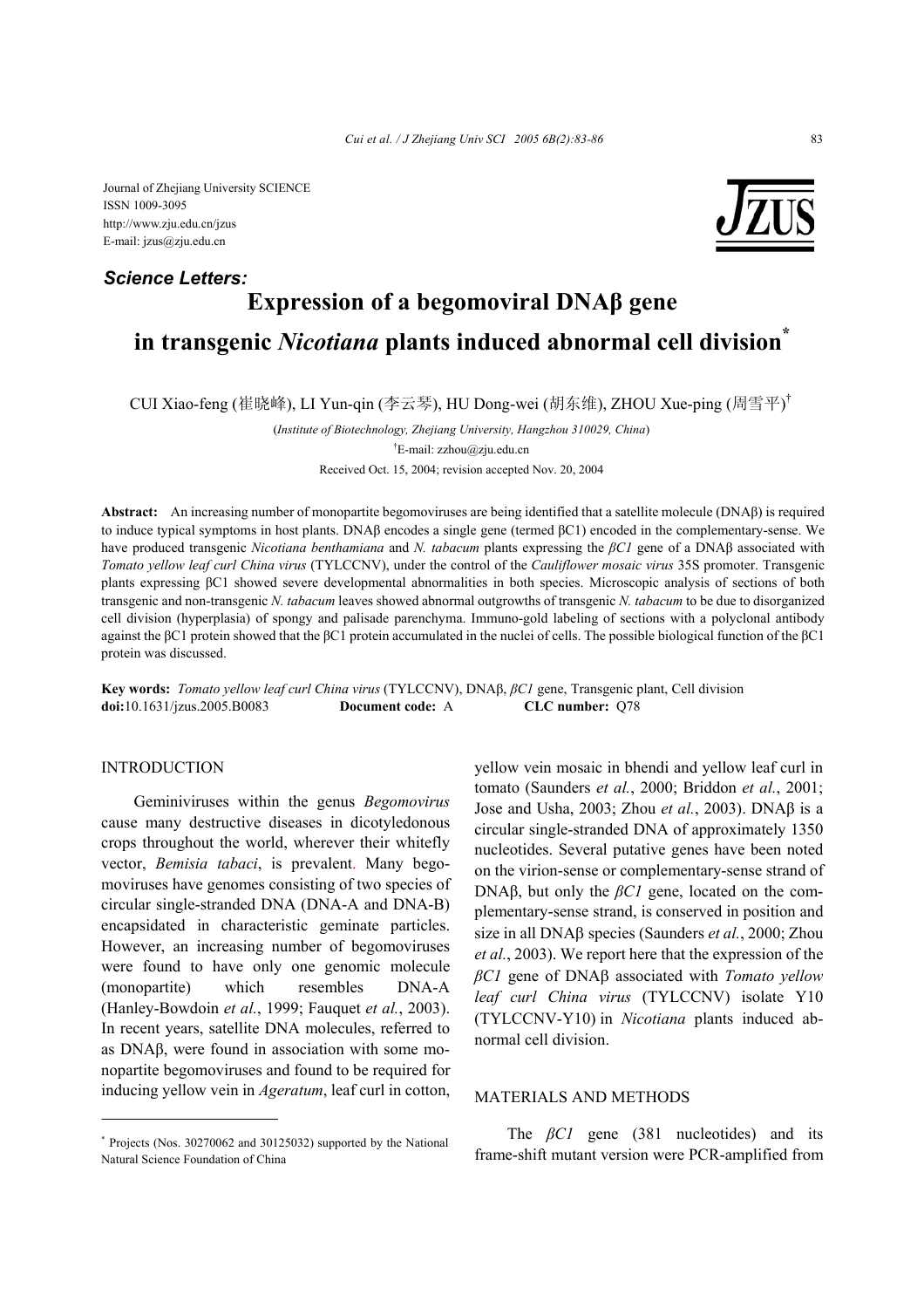Journal of Zhejiang University SCIENCE ISSN 1009-3095 http://www.zju.edu.cn/jzus E-mail: jzus@zju.edu.cn



# **Expression of a begomoviral DNAβ gene in transgenic** *Nicotiana* **plants induced abnormal cell division\*** *Science Letters:*

CUI Xiao-feng (崔晓峰), LI Yun-qin (李云琴), HU Dong-wei (胡东维), ZHOU Xue-ping (周雪平) †

(*Institute of Biotechnology, Zhejiang University, Hangzhou 310029, China*)

Received Oct. 15, 2004; revision accepted Nov. 20, 2004

**Abstract:** An increasing number of monopartite begomoviruses are being identified that a satellite molecule (DNAβ) is required to induce typical symptoms in host plants. DNAβ encodes a single gene (termed βC1) encoded in the complementary-sense. We have produced transgenic *Nicotiana benthamiana* and *N. tabacum* plants expressing the *βC1* gene of a DNAβ associated with *Tomato yellow leaf curl China virus* (TYLCCNV), under the control of the *Cauliflower mosaic virus* 35S promoter. Transgenic plants expressing βC1 showed severe developmental abnormalities in both species. Microscopic analysis of sections of both transgenic and non-transgenic *N. tabacum* leaves showed abnormal outgrowths of transgenic *N. tabacum* to be due to disorganized cell division (hyperplasia) of spongy and palisade parenchyma. Immuno-gold labeling of sections with a polyclonal antibody against the βC1 protein showed that the βC1 protein accumulated in the nuclei of cells. The possible biological function of the βC1 protein was discussed.

**Key words:** *Tomato yellow leaf curl China virus* (TYLCCNV), DNAβ, *βC1* gene, Transgenic plant, Cell division **doi:**10.1631/jzus.2005.B0083 **Document code:** A **CLC number:** Q78

#### **INTRODUCTION**

Geminiviruses within the genus *Begomovirus*  cause many destructive diseases in dicotyledonous crops throughout the world, wherever their whitefly vector, *Bemisia tabaci*, is prevalent. Many begomoviruses have genomes consisting of two species of circular single-stranded DNA (DNA-A and DNA-B) encapsidated in characteristic geminate particles. However, an increasing number of begomoviruses were found to have only one genomic molecule (monopartite) which resembles DNA-A (Hanley-Bowdoin *et al.*, 1999; Fauquet *et al.*, 2003). In recent years, satellite DNA molecules, referred to as DNAβ, were found in association with some monopartite begomoviruses and found to be required for inducing yellow vein in *Ageratum*, leaf curl in cotton,

yellow vein mosaic in bhendi and yellow leaf curl in tomato (Saunders *et al.*, 2000; Briddon *et al.*, 2001; Jose and Usha, 2003; Zhou *et al.*, 2003). DNAβ is a circular single-stranded DNA of approximately 1350 nucleotides. Several putative genes have been noted on the virion-sense or complementary-sense strand of DNAβ, but only the *βC1* gene, located on the complementary-sense strand, is conserved in position and size in all DNAβ species (Saunders *et al.*, 2000; Zhou *et al.*, 2003). We report here that the expression of the *βC1* gene of DNAβ associated with *Tomato yellow leaf curl China virus* (TYLCCNV) isolate Y10 (TYLCCNV-Y10) in *Nicotiana* plants induced abnormal cell division.

## MATERIALS AND METHODS

The *βC1* gene (381 nucleotides) and its frame-shift mutant version were PCR-amplified from

<sup>†</sup> E-mail: zzhou@zju.edu.cn

<sup>\*</sup> Projects (Nos. 30270062 and 30125032) supported by the National Natural Science Foundation of China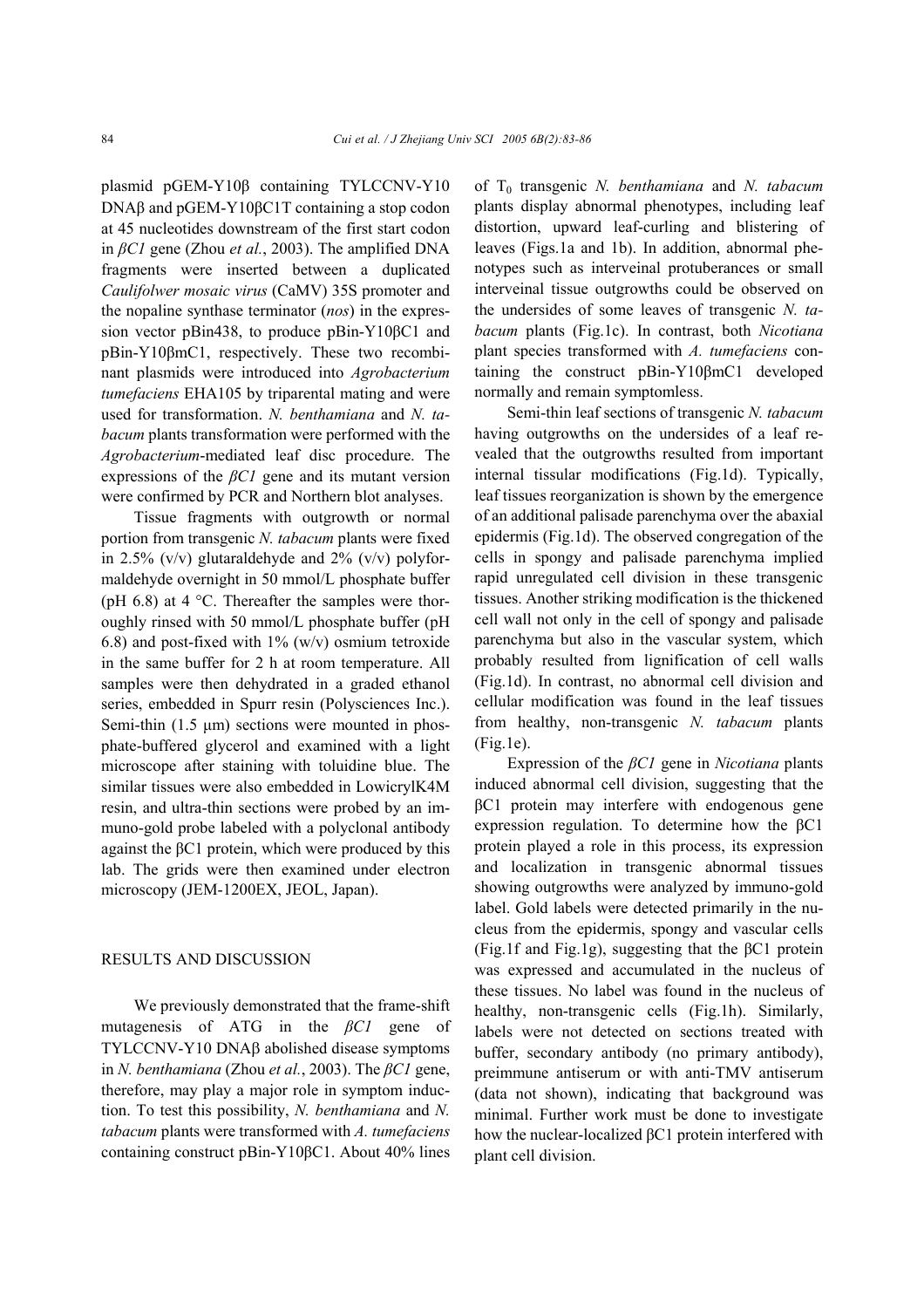plasmid pGEM-Y10β containing TYLCCNV-Y10 DNAβ and pGEM-Y10βC1T containing a stop codon at 45 nucleotides downstream of the first start codon in *βC1* gene (Zhou *et al.*, 2003). The amplified DNA fragments were inserted between a duplicated *Caulifolwer mosaic virus* (CaMV) 35S promoter and the nopaline synthase terminator (*nos*) in the expression vector pBin438, to produce pBin-Y10βC1 and pBin-Y10βmC1, respectively. These two recombinant plasmids were introduced into *Agrobacterium tumefaciens* EHA105 by triparental mating and were used for transformation. *N. benthamiana* and *N. tabacum* plants transformation were performed with the *Agrobacterium*-mediated leaf disc procedure. The expressions of the *βC1* gene and its mutant version were confirmed by PCR and Northern blot analyses.

Tissue fragments with outgrowth or normal portion from transgenic *N. tabacum* plants were fixed in 2.5%  $(v/v)$  glutaraldehyde and 2%  $(v/v)$  polyformaldehyde overnight in 50 mmol/L phosphate buffer (pH 6.8) at 4  $^{\circ}$ C. Thereafter the samples were thoroughly rinsed with 50 mmol/L phosphate buffer (pH 6.8) and post-fixed with  $1\%$  (w/v) osmium tetroxide in the same buffer for 2 h at room temperature. All samples were then dehydrated in a graded ethanol series, embedded in Spurr resin (Polysciences Inc.). Semi-thin  $(1.5 \mu m)$  sections were mounted in phosphate-buffered glycerol and examined with a light microscope after staining with toluidine blue. The similar tissues were also embedded in LowicrylK4M resin, and ultra-thin sections were probed by an immuno-gold probe labeled with a polyclonal antibody against the βC1 protein, which were produced by this lab. The grids were then examined under electron microscopy (JEM-1200EX, JEOL, Japan).

### RESULTS AND DISCUSSION

We previously demonstrated that the frame-shift mutagenesis of ATG in the *βC1* gene of TYLCCNV-Y10 DNAβ abolished disease symptoms in *N. benthamiana* (Zhou *et al.*, 2003). The *βC1* gene, therefore, may play a major role in symptom induction. To test this possibility, *N. benthamiana* and *N. tabacum* plants were transformed with *A. tumefaciens* containing construct pBin-Y10βC1. About 40% lines

of T0 transgenic *N. benthamiana* and *N. tabacum* plants display abnormal phenotypes, including leaf distortion, upward leaf-curling and blistering of leaves (Figs.1a and 1b). In addition, abnormal phenotypes such as interveinal protuberances or small interveinal tissue outgrowths could be observed on the undersides of some leaves of transgenic *N. tabacum* plants (Fig.1c). In contrast, both *Nicotiana*  plant species transformed with *A. tumefaciens* containing the construct pBin-Y10βmC1 developed normally and remain symptomless.

Semi-thin leaf sections of transgenic *N. tabacum* having outgrowths on the undersides of a leaf revealed that the outgrowths resulted from important internal tissular modifications (Fig.1d). Typically, leaf tissues reorganization is shown by the emergence of an additional palisade parenchyma over the abaxial epidermis (Fig.1d). The observed congregation of the cells in spongy and palisade parenchyma implied rapid unregulated cell division in these transgenic tissues. Another striking modification is the thickened cell wall not only in the cell of spongy and palisade parenchyma but also in the vascular system, which probably resulted from lignification of cell walls (Fig.1d). In contrast, no abnormal cell division and cellular modification was found in the leaf tissues from healthy, non-transgenic *N. tabacum* plants (Fig.1e).

Expression of the *βC1* gene in *Nicotiana* plants induced abnormal cell division, suggesting that the βC1 protein may interfere with endogenous gene expression regulation. To determine how the βC1 protein played a role in this process, its expression and localization in transgenic abnormal tissues showing outgrowths were analyzed by immuno-gold label. Gold labels were detected primarily in the nucleus from the epidermis, spongy and vascular cells (Fig.1f and Fig.1g), suggesting that the βC1 protein was expressed and accumulated in the nucleus of these tissues. No label was found in the nucleus of healthy, non-transgenic cells (Fig.1h). Similarly, labels were not detected on sections treated with buffer, secondary antibody (no primary antibody), preimmune antiserum or with anti-TMV antiserum (data not shown), indicating that background was minimal. Further work must be done to investigate how the nuclear-localized βC1 protein interfered with plant cell division.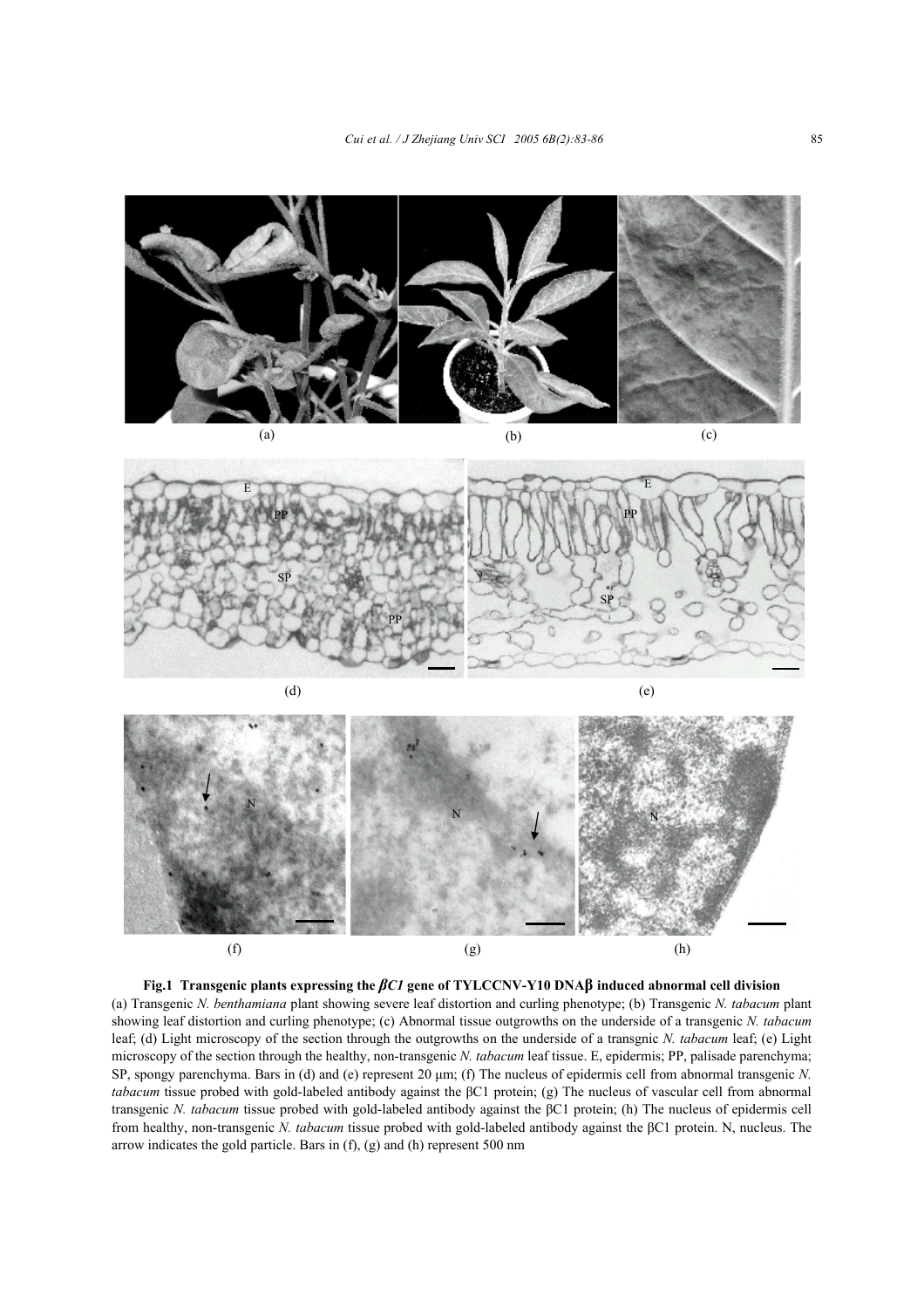



**Fig.1 Transgenic plants expressing the** *βC1* **gene of TYLCCNV-Y10 DNAβ induced abnormal cell division**  (a) Transgenic *N. benthamiana* plant showing severe leaf distortion and curling phenotype; (b) Transgenic *N. tabacum* plant showing leaf distortion and curling phenotype; (c) Abnormal tissue outgrowths on the underside of a transgenic *N. tabacum* leaf; (d) Light microscopy of the section through the outgrowths on the underside of a transgnic *N. tabacum* leaf; (e) Light microscopy of the section through the healthy, non-transgenic *N. tabacum* leaf tissue. E, epidermis; PP, palisade parenchyma; SP, spongy parenchyma. Bars in (d) and (e) represent 20 µm; (f) The nucleus of epidermis cell from abnormal transgenic *N. tabacum* tissue probed with gold-labeled antibody against the βC1 protein; (g) The nucleus of vascular cell from abnormal transgenic *N. tabacum* tissue probed with gold-labeled antibody against the βC1 protein; (h) The nucleus of epidermis cell from healthy, non-transgenic *N. tabacum* tissue probed with gold-labeled antibody against the βC1 protein. N, nucleus. The arrow indicates the gold particle. Bars in (f), (g) and (h) represent 500 nm